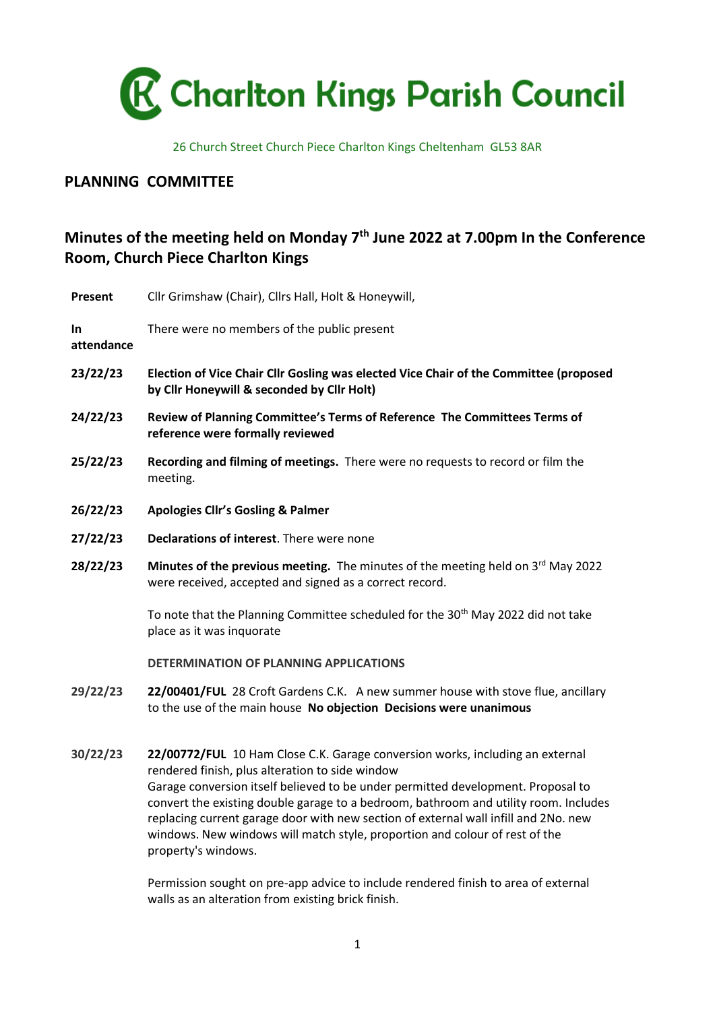

26 Church Street Church Piece Charlton Kings Cheltenham GL53 8AR

## **PLANNING COMMITTEE**

## **Minutes of the meeting held on Monday 7 th June 2022 at 7.00pm In the Conference Room, Church Piece Charlton Kings**

| <b>Present</b>    | Cllr Grimshaw (Chair), Cllrs Hall, Holt & Honeywill,                                                                                                                                                                                                                                                                                                                                                                                                                                                      |
|-------------------|-----------------------------------------------------------------------------------------------------------------------------------------------------------------------------------------------------------------------------------------------------------------------------------------------------------------------------------------------------------------------------------------------------------------------------------------------------------------------------------------------------------|
| In.<br>attendance | There were no members of the public present                                                                                                                                                                                                                                                                                                                                                                                                                                                               |
| 23/22/23          | Election of Vice Chair Cllr Gosling was elected Vice Chair of the Committee (proposed<br>by Cllr Honeywill & seconded by Cllr Holt)                                                                                                                                                                                                                                                                                                                                                                       |
| 24/22/23          | Review of Planning Committee's Terms of Reference The Committees Terms of<br>reference were formally reviewed                                                                                                                                                                                                                                                                                                                                                                                             |
| 25/22/23          | Recording and filming of meetings. There were no requests to record or film the<br>meeting.                                                                                                                                                                                                                                                                                                                                                                                                               |
| 26/22/23          | <b>Apologies Cllr's Gosling &amp; Palmer</b>                                                                                                                                                                                                                                                                                                                                                                                                                                                              |
| 27/22/23          | Declarations of interest. There were none                                                                                                                                                                                                                                                                                                                                                                                                                                                                 |
| 28/22/23          | Minutes of the previous meeting. The minutes of the meeting held on 3 <sup>rd</sup> May 2022<br>were received, accepted and signed as a correct record.                                                                                                                                                                                                                                                                                                                                                   |
|                   | To note that the Planning Committee scheduled for the 30 <sup>th</sup> May 2022 did not take<br>place as it was inquorate                                                                                                                                                                                                                                                                                                                                                                                 |
|                   | DETERMINATION OF PLANNING APPLICATIONS                                                                                                                                                                                                                                                                                                                                                                                                                                                                    |
| 29/22/23          | 22/00401/FUL 28 Croft Gardens C.K. A new summer house with stove flue, ancillary<br>to the use of the main house No objection Decisions were unanimous                                                                                                                                                                                                                                                                                                                                                    |
| 30/22/23          | 22/00772/FUL 10 Ham Close C.K. Garage conversion works, including an external<br>rendered finish, plus alteration to side window<br>Garage conversion itself believed to be under permitted development. Proposal to<br>convert the existing double garage to a bedroom, bathroom and utility room. Includes<br>replacing current garage door with new section of external wall infill and 2No. new<br>windows. New windows will match style, proportion and colour of rest of the<br>property's windows. |

Permission sought on pre-app advice to include rendered finish to area of external walls as an alteration from existing brick finish.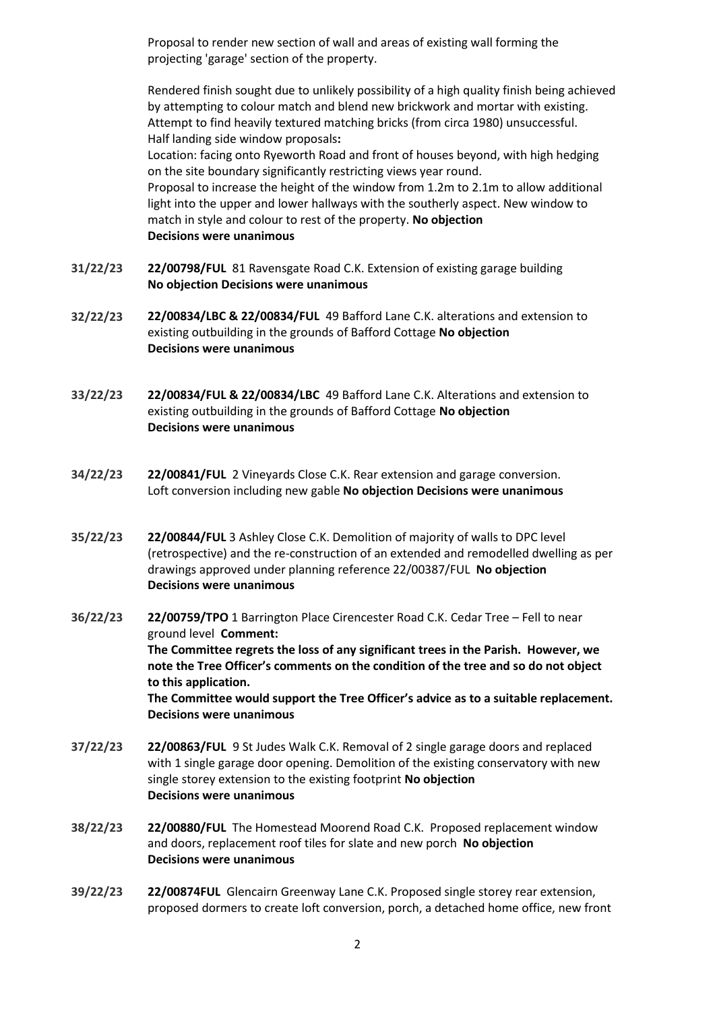Proposal to render new section of wall and areas of existing wall forming the projecting 'garage' section of the property.

Rendered finish sought due to unlikely possibility of a high quality finish being achieved by attempting to colour match and blend new brickwork and mortar with existing. Attempt to find heavily textured matching bricks (from circa 1980) unsuccessful. Half landing side window proposals**:** Location: facing onto Ryeworth Road and front of houses beyond, with high hedging on the site boundary significantly restricting views year round. Proposal to increase the height of the window from 1.2m to 2.1m to allow additional light into the upper and lower hallways with the southerly aspect. New window to match in style and colour to rest of the property. **No objection Decisions were unanimous**

- **31/22/23 22/00798/FUL** 81 Ravensgate Road C.K. Extension of existing garage building **No objection Decisions were unanimous**
- **32/22/23 22/00834/LBC & 22/00834/FUL** 49 Bafford Lane C.K. alterations and extension to existing outbuilding in the grounds of Bafford Cottage **No objection Decisions were unanimous**
- **33/22/23 22/00834/FUL & 22/00834/LBC** 49 Bafford Lane C.K. Alterations and extension to existing outbuilding in the grounds of Bafford Cottage **No objection Decisions were unanimous**
- **34/22/23 22/00841/FUL** 2 Vineyards Close C.K. Rear extension and garage conversion. Loft conversion including new gable **No objection Decisions were unanimous**
- **35/22/23 22/00844/FUL** 3 Ashley Close C.K. Demolition of majority of walls to DPC level (retrospective) and the re-construction of an extended and remodelled dwelling as per drawings approved under planning reference 22/00387/FUL **No objection Decisions were unanimous**
- **36/22/23 22/00759/TPO** 1 Barrington Place Cirencester Road C.K. Cedar Tree Fell to near ground level **Comment: The Committee regrets the loss of any significant trees in the Parish. However, we note the Tree Officer's comments on the condition of the tree and so do not object to this application. The Committee would support the Tree Officer's advice as to a suitable replacement. Decisions were unanimous**
- **37/22/23 22/00863/FUL** 9 St Judes Walk C.K. Removal of 2 single garage doors and replaced with 1 single garage door opening. Demolition of the existing conservatory with new single storey extension to the existing footprint **No objection Decisions were unanimous**
- **38/22/23 22/00880/FUL** The Homestead Moorend Road C.K. Proposed replacement window and doors, replacement roof tiles for slate and new porch **No objection Decisions were unanimous**
- **39/22/23 22/00874FUL** Glencairn Greenway Lane C.K. Proposed single storey rear extension, proposed dormers to create loft conversion, porch, a detached home office, new front